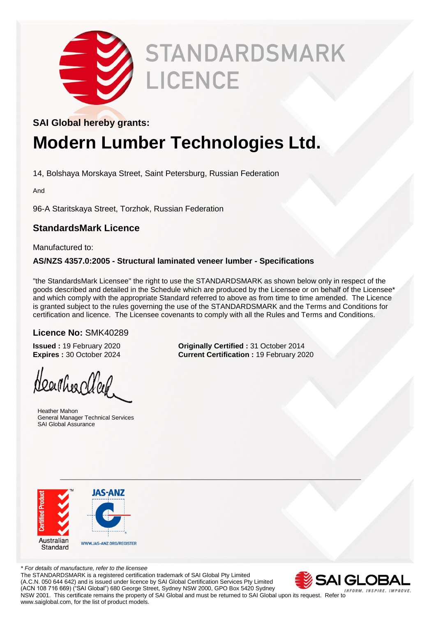

# **STANDARDSMARK** LICENCE

#### **SAI Global hereby grants:**

### **Modern Lumber Technologies Ltd.**

14, Bolshaya Morskaya Street, Saint Petersburg, Russian Federation

And

96-A Staritskaya Street, Torzhok, Russian Federation

#### **StandardsMark Licence**

Manufactured to:

#### **AS/NZS 4357.0:2005 - Structural laminated veneer lumber - Specifications**

"the StandardsMark Licensee" the right to use the STANDARDSMARK as shown below only in respect of the goods described and detailed in the Schedule which are produced by the Licensee or on behalf of the Licensee\* and which comply with the appropriate Standard referred to above as from time to time amended. The Licence is granted subject to the rules governing the use of the STANDARDSMARK and the Terms and Conditions for certification and licence. The Licensee covenants to comply with all the Rules and Terms and Conditions.

#### **Licence No:** SMK40289

Heartheachley

 Heather Mahon General Manager Technical Services SAI Global Assurance

**Issued :** 19 February 2020 **Originally Certified :** 31 October 2014 **Expires :** 30 October 2024 **Current Certification :** 19 February 20 **Current Certification : 19 February 2020** 



*\* For details of manufacture, refer to the licensee* The STANDARDSMARK is a registered certification trademark of SAI Global Pty Limited (A.C.N. 050 644 642) and is issued under licence by SAI Global Certification Services Pty Limited (ACN 108 716 669) ("SAI Global") 680 George Street, Sydney NSW 2000, GPO Box 5420 Sydney NSW 2001. This certificate remains the property of SAI Global and must be returned to SAI Global upon its request. Refer to www.saiglobal.com, for the list of product models.